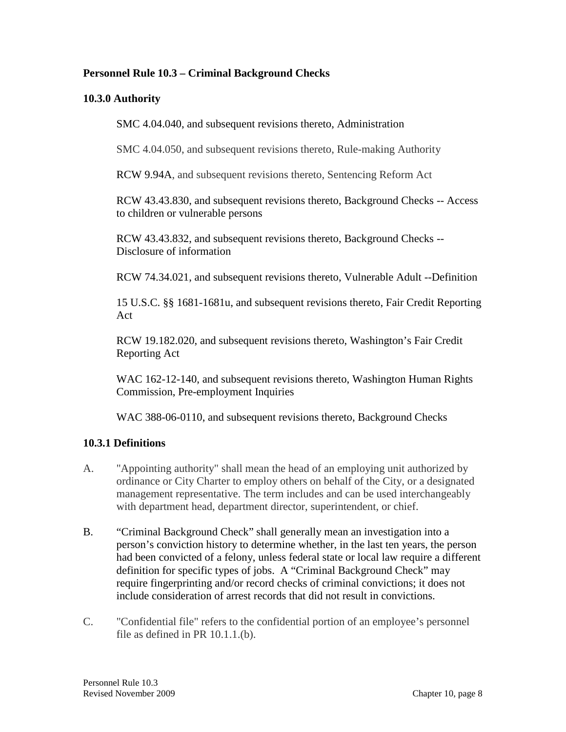### **Personnel Rule 10.3 – Criminal Background Checks**

#### **10.3.0 Authority**

SMC 4.04.040, and subsequent revisions thereto, Administration

SMC 4.04.050, and subsequent revisions thereto, Rule-making Authority

RCW 9.94A, and subsequent revisions thereto, Sentencing Reform Act

RCW 43.43.830, and subsequent revisions thereto, Background Checks -- Access to children or vulnerable persons

RCW 43.43.832, and subsequent revisions thereto, Background Checks -- Disclosure of information

RCW 74.34.021, and subsequent revisions thereto, Vulnerable Adult --Definition

15 U.S.C. §§ 1681-1681u, and subsequent revisions thereto, Fair Credit Reporting Act

RCW 19.182.020, and subsequent revisions thereto, Washington's Fair Credit Reporting Act

WAC 162-12-140, and subsequent revisions thereto, Washington Human Rights Commission, Pre-employment Inquiries

WAC 388-06-0110, and subsequent revisions thereto, Background Checks

### **10.3.1 Definitions**

- A. "Appointing authority" shall mean the head of an employing unit authorized by ordinance or City Charter to employ others on behalf of the City, or a designated management representative. The term includes and can be used interchangeably with department head, department director, superintendent, or chief.
- B. "Criminal Background Check" shall generally mean an investigation into a person's conviction history to determine whether, in the last ten years, the person had been convicted of a felony, unless federal state or local law require a different definition for specific types of jobs. A "Criminal Background Check" may require fingerprinting and/or record checks of criminal convictions; it does not include consideration of arrest records that did not result in convictions.
- C. "Confidential file" refers to the confidential portion of an employee's personnel file as defined in PR 10.1.1.(b).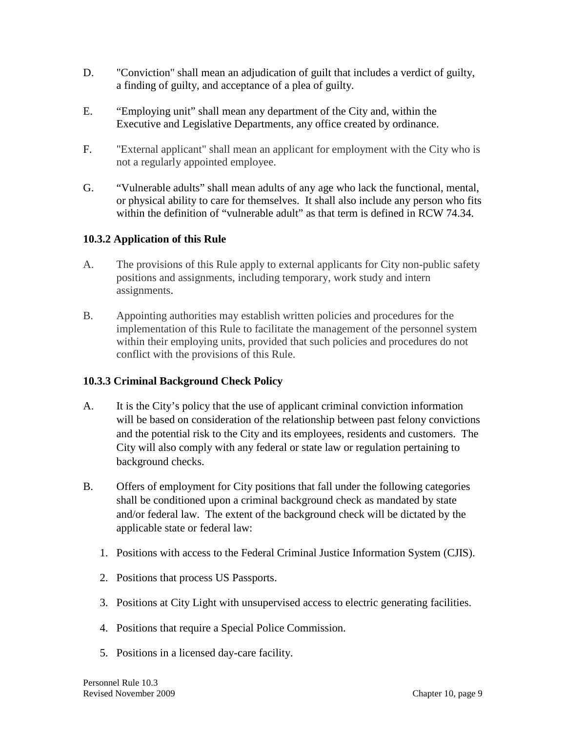- D. "Conviction" shall mean an adjudication of guilt that includes a verdict of guilty, a finding of guilty, and acceptance of a plea of guilty.
- E. "Employing unit" shall mean any department of the City and, within the Executive and Legislative Departments, any office created by ordinance.
- F. "External applicant" shall mean an applicant for employment with the City who is not a regularly appointed employee.
- G. "Vulnerable adults" shall mean adults of any age who lack the functional, mental, or physical ability to care for themselves. It shall also include any person who fits within the definition of "vulnerable adult" as that term is defined in RCW 74.34.

# **10.3.2 Application of this Rule**

- A. The provisions of this Rule apply to external applicants for City non-public safety positions and assignments, including temporary, work study and intern assignments.
- B. Appointing authorities may establish written policies and procedures for the implementation of this Rule to facilitate the management of the personnel system within their employing units, provided that such policies and procedures do not conflict with the provisions of this Rule.

# **10.3.3 Criminal Background Check Policy**

- A. It is the City's policy that the use of applicant criminal conviction information will be based on consideration of the relationship between past felony convictions and the potential risk to the City and its employees, residents and customers. The City will also comply with any federal or state law or regulation pertaining to background checks.
- B. Offers of employment for City positions that fall under the following categories shall be conditioned upon a criminal background check as mandated by state and/or federal law. The extent of the background check will be dictated by the applicable state or federal law:
	- 1. Positions with access to the Federal Criminal Justice Information System (CJIS).
	- 2. Positions that process US Passports.
	- 3. Positions at City Light with unsupervised access to electric generating facilities.
	- 4. Positions that require a Special Police Commission.
	- 5. Positions in a licensed day-care facility.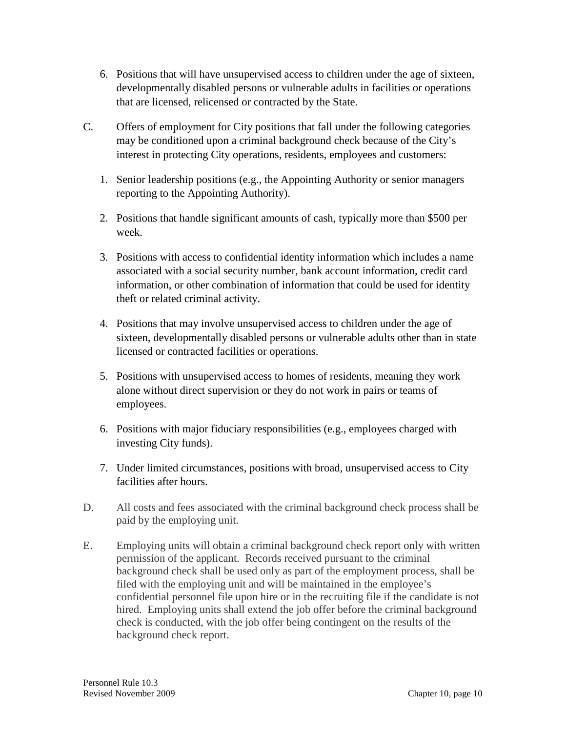- 6. Positions that will have unsupervised access to children under the age of sixteen, developmentally disabled persons or vulnerable adults in facilities or operations that are licensed, relicensed or contracted by the State.
- C. Offers of employment for City positions that fall under the following categories may be conditioned upon a criminal background check because of the City's interest in protecting City operations, residents, employees and customers:
	- 1. Senior leadership positions (e.g., the Appointing Authority or senior managers reporting to the Appointing Authority).
	- 2. Positions that handle significant amounts of cash, typically more than \$500 per week.
	- 3. Positions with access to confidential identity information which includes a name associated with a social security number, bank account information, credit card information, or other combination of information that could be used for identity theft or related criminal activity.
	- 4. Positions that may involve unsupervised access to children under the age of sixteen, developmentally disabled persons or vulnerable adults other than in state licensed or contracted facilities or operations.
	- 5. Positions with unsupervised access to homes of residents, meaning they work alone without direct supervision or they do not work in pairs or teams of employees.
	- 6. Positions with major fiduciary responsibilities (e.g., employees charged with investing City funds).
	- 7. Under limited circumstances, positions with broad, unsupervised access to City facilities after hours.
- D. All costs and fees associated with the criminal background check process shall be paid by the employing unit.
- E. Employing units will obtain a criminal background check report only with written permission of the applicant. Records received pursuant to the criminal background check shall be used only as part of the employment process, shall be filed with the employing unit and will be maintained in the employee's confidential personnel file upon hire or in the recruiting file if the candidate is not hired. Employing units shall extend the job offer before the criminal background check is conducted, with the job offer being contingent on the results of the background check report.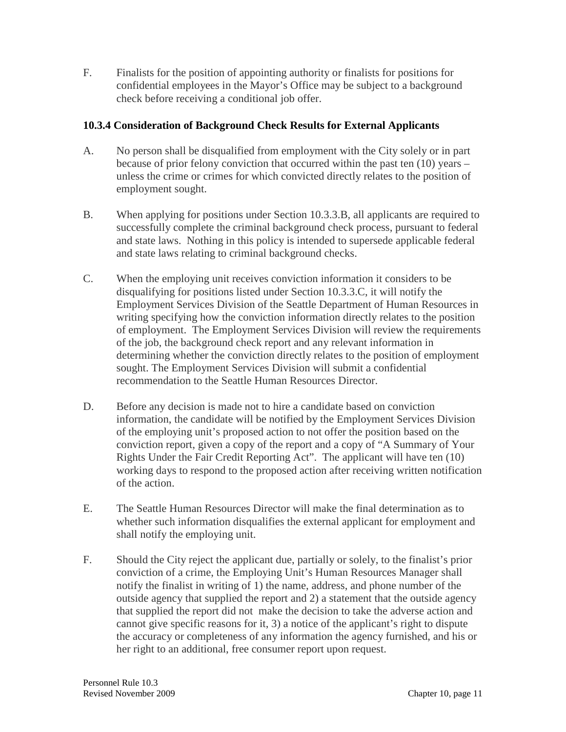F. Finalists for the position of appointing authority or finalists for positions for confidential employees in the Mayor's Office may be subject to a background check before receiving a conditional job offer.

# **10.3.4 Consideration of Background Check Results for External Applicants**

- A. No person shall be disqualified from employment with the City solely or in part because of prior felony conviction that occurred within the past ten (10) years – unless the crime or crimes for which convicted directly relates to the position of employment sought.
- B. When applying for positions under Section 10.3.3.B, all applicants are required to successfully complete the criminal background check process, pursuant to federal and state laws. Nothing in this policy is intended to supersede applicable federal and state laws relating to criminal background checks.
- C. When the employing unit receives conviction information it considers to be disqualifying for positions listed under Section 10.3.3.C, it will notify the Employment Services Division of the Seattle Department of Human Resources in writing specifying how the conviction information directly relates to the position of employment. The Employment Services Division will review the requirements of the job, the background check report and any relevant information in determining whether the conviction directly relates to the position of employment sought. The Employment Services Division will submit a confidential recommendation to the Seattle Human Resources Director.
- D. Before any decision is made not to hire a candidate based on conviction information, the candidate will be notified by the Employment Services Division of the employing unit's proposed action to not offer the position based on the conviction report, given a copy of the report and a copy of "A Summary of Your Rights Under the Fair Credit Reporting Act". The applicant will have ten (10) working days to respond to the proposed action after receiving written notification of the action.
- E. The Seattle Human Resources Director will make the final determination as to whether such information disqualifies the external applicant for employment and shall notify the employing unit.
- F. Should the City reject the applicant due, partially or solely, to the finalist's prior conviction of a crime, the Employing Unit's Human Resources Manager shall notify the finalist in writing of 1) the name, address, and phone number of the outside agency that supplied the report and 2) a statement that the outside agency that supplied the report did not make the decision to take the adverse action and cannot give specific reasons for it, 3) a notice of the applicant's right to dispute the accuracy or completeness of any information the agency furnished, and his or her right to an additional, free consumer report upon request.